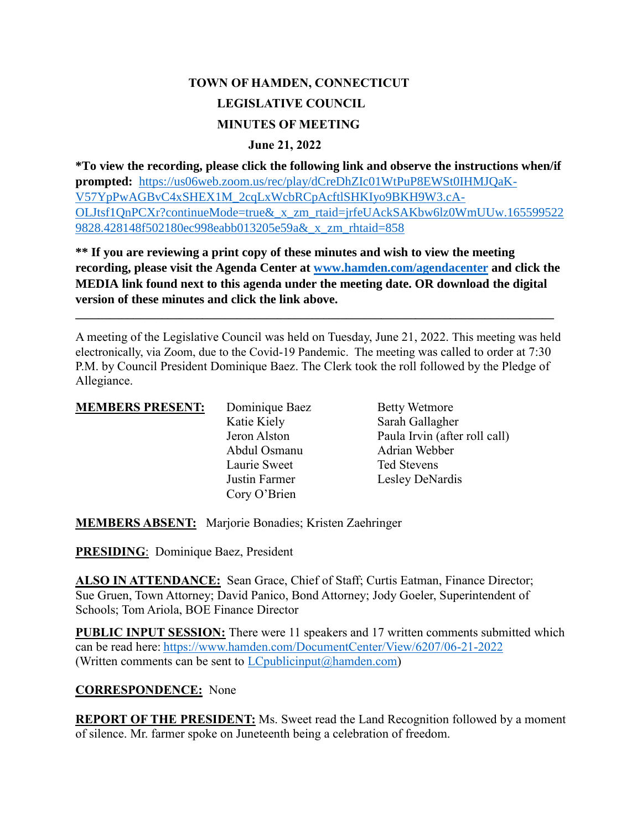# **TOWN OF HAMDEN, CONNECTICUT LEGISLATIVE COUNCIL MINUTES OF MEETING**

#### **June 21, 2022**

**\*To view the recording, please click the following link and observe the instructions when/if prompted:** [https://us06web.zoom.us/rec/play/dCreDhZIc01WtPuP8EWSt0IHMJQaK-](https://us06web.zoom.us/rec/play/dCreDhZIc01WtPuP8EWSt0IHMJQaK-V57YpPwAGBvC4xSHEX1M_2cqLxWcbRCpAcftlSHKIyo9BKH9W3.cA-OLJtsf1QnPCXr?continueMode=true&_x_zm_rtaid=jrfeUAckSAKbw6lz0WmUUw.1655995229828.428148f502180ec998eabb013205e59a&_x_zm_rhtaid=858)[V57YpPwAGBvC4xSHEX1M\\_2cqLxWcbRCpAcftlSHKIyo9BKH9W3.cA-](https://us06web.zoom.us/rec/play/dCreDhZIc01WtPuP8EWSt0IHMJQaK-V57YpPwAGBvC4xSHEX1M_2cqLxWcbRCpAcftlSHKIyo9BKH9W3.cA-OLJtsf1QnPCXr?continueMode=true&_x_zm_rtaid=jrfeUAckSAKbw6lz0WmUUw.1655995229828.428148f502180ec998eabb013205e59a&_x_zm_rhtaid=858)[OLJtsf1QnPCXr?continueMode=true&\\_x\\_zm\\_rtaid=jrfeUAckSAKbw6lz0WmUUw.165599522](https://us06web.zoom.us/rec/play/dCreDhZIc01WtPuP8EWSt0IHMJQaK-V57YpPwAGBvC4xSHEX1M_2cqLxWcbRCpAcftlSHKIyo9BKH9W3.cA-OLJtsf1QnPCXr?continueMode=true&_x_zm_rtaid=jrfeUAckSAKbw6lz0WmUUw.1655995229828.428148f502180ec998eabb013205e59a&_x_zm_rhtaid=858) [9828.428148f502180ec998eabb013205e59a&\\_x\\_zm\\_rhtaid=858](https://us06web.zoom.us/rec/play/dCreDhZIc01WtPuP8EWSt0IHMJQaK-V57YpPwAGBvC4xSHEX1M_2cqLxWcbRCpAcftlSHKIyo9BKH9W3.cA-OLJtsf1QnPCXr?continueMode=true&_x_zm_rtaid=jrfeUAckSAKbw6lz0WmUUw.1655995229828.428148f502180ec998eabb013205e59a&_x_zm_rhtaid=858)

**\*\* If you are reviewing a print copy of these minutes and wish to view the meeting recording, please visit the Agenda Center at [www.hamden.com/agendacenter](http://www.hamden.com/agendacenter) and click the MEDIA link found next to this agenda under the meeting date. OR download the digital version of these minutes and click the link above.**

**\_\_\_\_\_\_\_\_\_\_\_\_\_\_\_\_\_\_\_\_\_\_\_\_\_\_\_\_\_\_\_\_\_\_\_\_\_\_\_\_\_\_\_\_\_\_\_\_\_\_\_\_\_\_\_\_\_\_\_\_\_\_\_\_\_\_\_\_\_\_\_\_\_\_\_\_\_\_\_\_\_\_\_**

A meeting of the Legislative Council was held on Tuesday, June 21, 2022. This meeting was held electronically, via Zoom, due to the Covid-19 Pandemic. The meeting was called to order at 7:30 P.M. by Council President Dominique Baez. The Clerk took the roll followed by the Pledge of Allegiance.

| <b>MEMBERS PRESENT:</b> | Dominique Baez | <b>Betty Wetmore</b>          |
|-------------------------|----------------|-------------------------------|
|                         | Katie Kiely    | Sarah Gallagher               |
|                         | Jeron Alston   | Paula Irvin (after roll call) |
|                         | Abdul Osmanu   | Adrian Webber                 |
|                         | Laurie Sweet   | Ted Stevens                   |
|                         | Justin Farmer  | Lesley DeNardis               |
|                         | Cory O'Brien   |                               |

**MEMBERS ABSENT:** Marjorie Bonadies; Kristen Zaehringer

**PRESIDING**: Dominique Baez, President

ALSO IN ATTENDANCE: Sean Grace, Chief of Staff; Curtis Eatman, Finance Director; Sue Gruen, Town Attorney; David Panico, Bond Attorney; Jody Goeler, Superintendent of Schools; Tom Ariola, BOE Finance Director

**PUBLIC INPUT SESSION:** There were 11 speakers and 17 written comments submitted which can be read here: <https://www.hamden.com/DocumentCenter/View/6207/06-21-2022> (Written comments can be sent to  $LC$  publicinput  $(a)$  hamden.com)

#### **CORRESPONDENCE:** None

**REPORT OF THE PRESIDENT:** Ms. Sweet read the Land Recognition followed by a moment of silence. Mr. farmer spoke on Juneteenth being a celebration of freedom.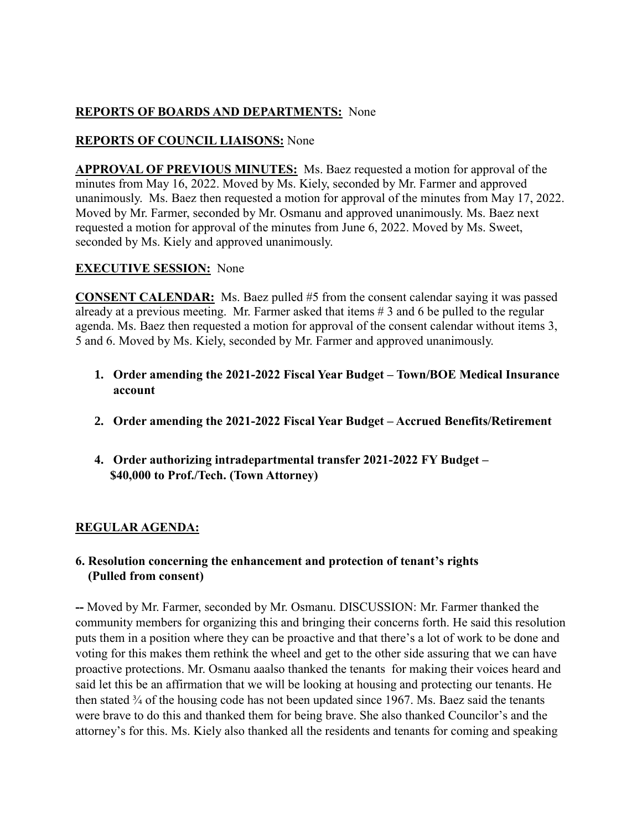# **REPORTS OF BOARDS AND DEPARTMENTS:** None

# **REPORTS OF COUNCIL LIAISONS:** None

**APPROVAL OF PREVIOUS MINUTES:** Ms. Baez requested a motion for approval of the minutes from May 16, 2022. Moved by Ms. Kiely, seconded by Mr. Farmer and approved unanimously. Ms. Baez then requested a motion for approval of the minutes from May 17, 2022. Moved by Mr. Farmer, seconded by Mr. Osmanu and approved unanimously. Ms. Baez next requested a motion for approval of the minutes from June 6, 2022. Moved by Ms. Sweet, seconded by Ms. Kiely and approved unanimously.

## **EXECUTIVE SESSION:** None

**CONSENT CALENDAR:** Ms. Baez pulled #5 from the consent calendar saying it was passed already at a previous meeting. Mr. Farmer asked that items # 3 and 6 be pulled to the regular agenda. Ms. Baez then requested a motion for approval of the consent calendar without items 3, 5 and 6. Moved by Ms. Kiely, seconded by Mr. Farmer and approved unanimously.

- **1. Order amending the 2021-2022 Fiscal Year Budget – Town/BOE Medical Insurance account**
- **2. Order amending the 2021-2022 Fiscal Year Budget – Accrued Benefits/Retirement**
- **4. Order authorizing intradepartmental transfer 2021-2022 FY Budget – \$40,000 to Prof./Tech. (Town Attorney)**

# **REGULAR AGENDA:**

## **6. Resolution concerning the enhancement and protection of tenant's rights (Pulled from consent)**

**--** Moved by Mr. Farmer, seconded by Mr. Osmanu. DISCUSSION: Mr. Farmer thanked the community members for organizing this and bringing their concerns forth. He said this resolution puts them in a position where they can be proactive and that there's a lot of work to be done and voting for this makes them rethink the wheel and get to the other side assuring that we can have proactive protections. Mr. Osmanu aaalso thanked the tenants for making their voices heard and said let this be an affirmation that we will be looking at housing and protecting our tenants. He then stated ¾ of the housing code has not been updated since 1967. Ms. Baez said the tenants were brave to do this and thanked them for being brave. She also thanked Councilor's and the attorney's for this. Ms. Kiely also thanked all the residents and tenants for coming and speaking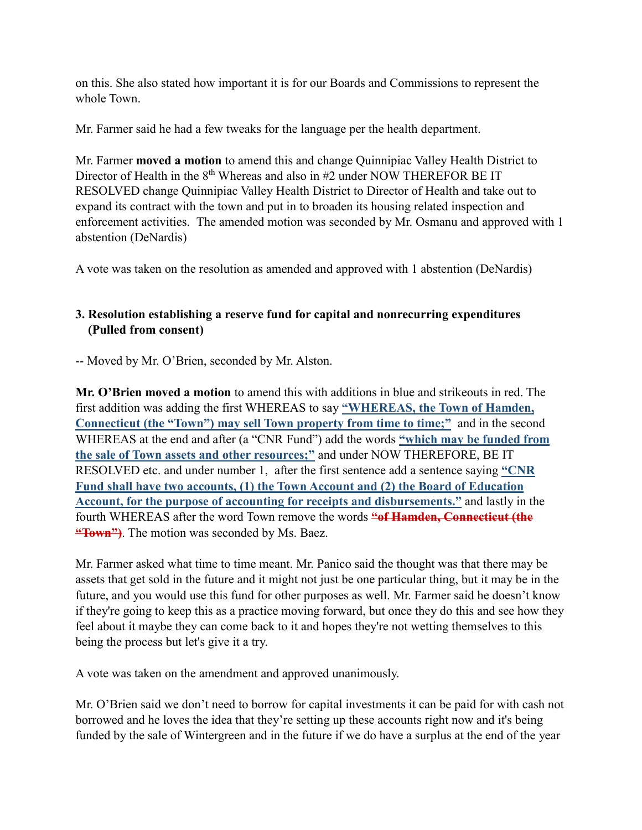on this. She also stated how important it is for our Boards and Commissions to represent the whole Town.

Mr. Farmer said he had a few tweaks for the language per the health department.

Mr. Farmer **moved a motion** to amend this and change Quinnipiac Valley Health District to Director of Health in the  $8<sup>th</sup>$  Whereas and also in #2 under NOW THEREFOR BE IT RESOLVED change Quinnipiac Valley Health District to Director of Health and take out to expand its contract with the town and put in to broaden its housing related inspection and enforcement activities. The amended motion was seconded by Mr. Osmanu and approved with 1 abstention (DeNardis)

A vote was taken on the resolution as amended and approved with 1 abstention (DeNardis)

# **3. Resolution establishing a reserve fund for capital and nonrecurring expenditures (Pulled from consent)**

-- Moved by Mr. O'Brien, seconded by Mr. Alston.

**Mr. O'Brien moved a motion** to amend this with additions in blue and strikeouts in red. The first addition was adding the first WHEREAS to say **"WHEREAS, the Town of Hamden, Connecticut (the "Town") may sell Town property from time to time;"** and in the second WHEREAS at the end and after (a "CNR Fund") add the words **"which may be funded from the sale of Town assets and other resources;"** and under NOW THEREFORE, BE IT RESOLVED etc. and under number 1, after the first sentence add a sentence saying **"CNR Fund shall have two accounts, (1) the Town Account and (2) the Board of Education Account, for the purpose of accounting for receipts and disbursements."** and lastly in the fourth WHEREAS after the word Town remove the words **"of Hamden, Connecticut (the "Town")**. The motion was seconded by Ms. Baez.

Mr. Farmer asked what time to time meant. Mr. Panico said the thought was that there may be assets that get sold in the future and it might not just be one particular thing, but it may be in the future, and you would use this fund for other purposes as well. Mr. Farmer said he doesn't know if they're going to keep this as a practice moving forward, but once they do this and see how they feel about it maybe they can come back to it and hopes they're not wetting themselves to this being the process but let's give it a try.

A vote was taken on the amendment and approved unanimously.

Mr. O'Brien said we don't need to borrow for capital investments it can be paid for with cash not borrowed and he loves the idea that they're setting up these accounts right now and it's being funded by the sale of Wintergreen and in the future if we do have a surplus at the end of the year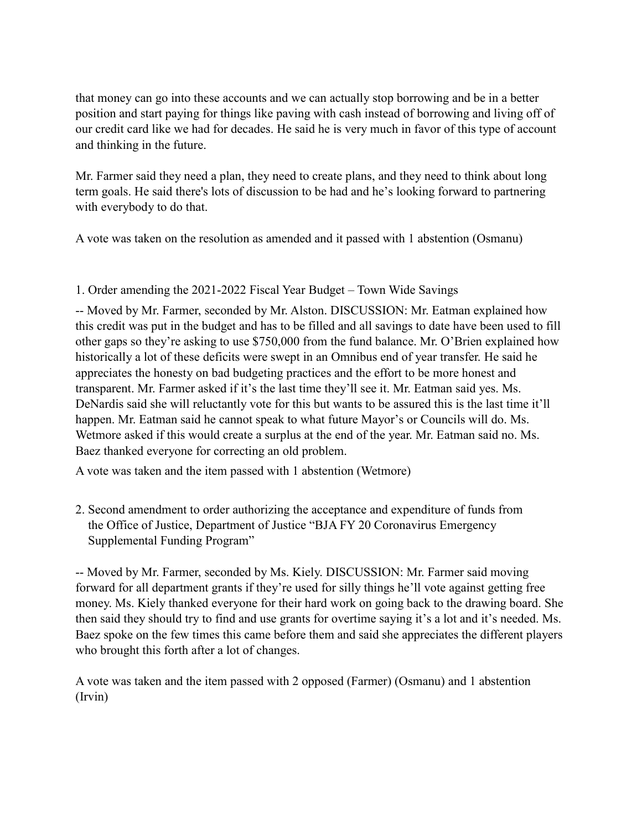that money can go into these accounts and we can actually stop borrowing and be in a better position and start paying for things like paving with cash instead of borrowing and living off of our credit card like we had for decades. He said he is very much in favor of this type of account and thinking in the future.

Mr. Farmer said they need a plan, they need to create plans, and they need to think about long term goals. He said there's lots of discussion to be had and he's looking forward to partnering with everybody to do that.

A vote was taken on the resolution as amended and it passed with 1 abstention (Osmanu)

## 1. Order amending the 2021-2022 Fiscal Year Budget – Town Wide Savings

-- Moved by Mr. Farmer, seconded by Mr. Alston. DISCUSSION: Mr. Eatman explained how this credit was put in the budget and has to be filled and all savings to date have been used to fill other gaps so they're asking to use \$750,000 from the fund balance. Mr. O'Brien explained how historically a lot of these deficits were swept in an Omnibus end of year transfer. He said he appreciates the honesty on bad budgeting practices and the effort to be more honest and transparent. Mr. Farmer asked if it's the last time they'll see it. Mr. Eatman said yes. Ms. DeNardis said she will reluctantly vote for this but wants to be assured this is the last time it'll happen. Mr. Eatman said he cannot speak to what future Mayor's or Councils will do. Ms. Wetmore asked if this would create a surplus at the end of the year. Mr. Eatman said no. Ms. Baez thanked everyone for correcting an old problem.

A vote was taken and the item passed with 1 abstention (Wetmore)

2. Second amendment to order authorizing the acceptance and expenditure of funds from the Office of Justice, Department of Justice "BJA FY 20 Coronavirus Emergency Supplemental Funding Program"

-- Moved by Mr. Farmer, seconded by Ms. Kiely. DISCUSSION: Mr. Farmer said moving forward for all department grants if they're used for silly things he'll vote against getting free money. Ms. Kiely thanked everyone for their hard work on going back to the drawing board. She then said they should try to find and use grants for overtime saying it's a lot and it's needed. Ms. Baez spoke on the few times this came before them and said she appreciates the different players who brought this forth after a lot of changes.

A vote was taken and the item passed with 2 opposed (Farmer) (Osmanu) and 1 abstention (Irvin)